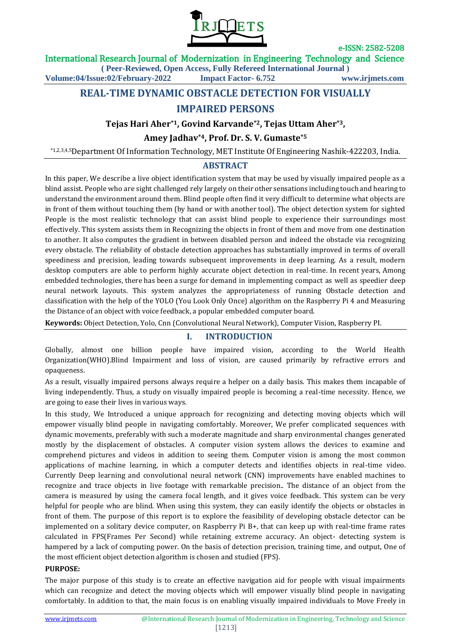

International Research Journal of Modernization in Engineering Technology and Science

**( Peer-Reviewed, Open Access, Fully Refereed International Journal )**

**Volume:04/Issue:02/February-2022 Impact Factor- 6.752 www.irjmets.com**

# **REAL-TIME DYNAMIC OBSTACLE DETECTION FOR VISUALLY**

# **IMPAIRED PERSONS**

### **Tejas Hari Aher\*1, Govind Karvande\*2, Tejas Uttam Aher\*3,**

# **Amey Jadhav\*4, Prof. Dr. S. V. Gumaste\*5**

\*1,2,3,4,5Department Of Information Technology, MET Institute Of Engineering Nashik-422203, India.

#### **ABSTRACT**

In this paper, We describe a live object identification system that may be used by visually impaired people as a blind assist. People who are sight challenged rely largely on their other sensations including touch and hearing to understand the environment around them. Blind people often find it very difficult to determine what objects are in front of them without touching them (by hand or with another tool). The object detection system for sighted People is the most realistic technology that can assist blind people to experience their surroundings most effectively. This system assists them in Recognizing the objects in front of them and move from one destination to another. It also computes the gradient in between disabled person and indeed the obstacle via recognizing every obstacle. The reliability of obstacle detection approaches has substantially improved in terms of overall speediness and precision, leading towards subsequent improvements in deep learning. As a result, modern desktop computers are able to perform highly accurate object detection in real-time. In recent years, Among embedded technologies, there has been a surge for demand in implementing compact as well as speedier deep neural network layouts. This system analyzes the appropriateness of running Obstacle detection and classification with the help of the YOLO (You Look Only Once) algorithm on the Raspberry Pi 4 and Measuring the Distance of an object with voice feedback, a popular embedded computer board.

**Keywords:** Object Detection, Yolo, Cnn (Convolutional Neural Network), Computer Vision, Raspberry PI.

### **I. INTRODUCTION**

Globally, almost one billion people have impaired vision, according to the World Health Organization(WHO).Blind Impairment and loss of vision, are caused primarily by refractive errors and opaqueness.

As a result, visually impaired persons always require a helper on a daily basis. This makes them incapable of living independently. Thus, a study on visually impaired people is becoming a real-time necessity. Hence, we are going to ease their lives in various ways.

In this study, We Introduced a unique approach for recognizing and detecting moving objects which will empower visually blind people in navigating comfortably. Moreover, We prefer complicated sequences with dynamic movements, preferably with such a moderate magnitude and sharp environmental changes generated mostly by the displacement of obstacles. A computer vision system allows the devices to examine and comprehend pictures and videos in addition to seeing them. Computer vision is among the most common applications of machine learning, in which a computer detects and identifies objects in real-time video. Currently Deep learning and convolutional neural network (CNN) improvements have enabled machines to recognize and trace objects in live footage with remarkable precision.. The distance of an object from the camera is measured by using the camera focal length, and it gives voice feedback. This system can be very helpful for people who are blind. When using this system, they can easily identify the objects or obstacles in front of them. The purpose of this report is to explore the feasibility of developing obstacle detector can be implemented on a solitary device computer, on Raspberry Pi B+, that can keep up with real-time frame rates calculated in FPS(Frames Per Second) while retaining extreme accuracy. An object- detecting system is hampered by a lack of computing power. On the basis of detection precision, training time, and output, One of the most efficient object detection algorithm is chosen and studied (FPS).

#### **PURPOSE:**

The major purpose of this study is to create an effective navigation aid for people with visual impairments which can recognize and detect the moving objects which will empower visually blind people in navigating comfortably. In addition to that, the main focus is on enabling visually impaired individuals to Move Freely in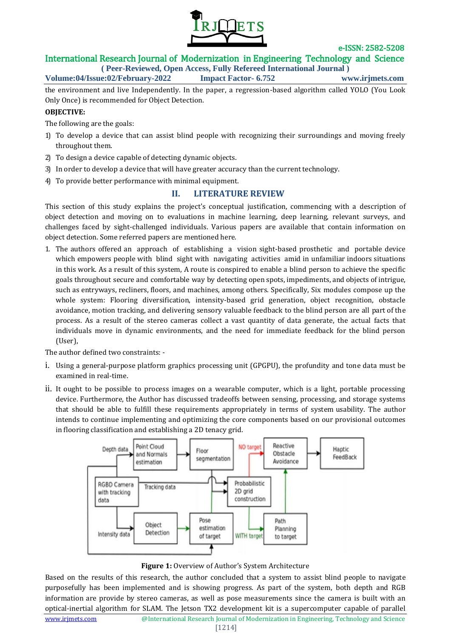

# International Research Journal of Modernization in Engineering Technology and Science

**( Peer-Reviewed, Open Access, Fully Refereed International Journal ) Volume:04/Issue:02/February-2022 Impact Factor- 6.752 www.irjmets.com**

the environment and live Independently. In the paper, a regression-based algorithm called YOLO (You Look Only Once) is recommended for Object Detection.

#### **OBJECTIVE:**

The following are the goals:

- 1) To develop a device that can assist blind people with recognizing their surroundings and moving freely throughout them.
- 2) To design a device capable of detecting dynamic objects.
- 3) In order to develop a device that will have greater accuracy than the currenttechnology.
- 4) To provide better performance with minimal equipment.

### **II. LITERATURE REVIEW**

This section of this study explains the project's conceptual justification, commencing with a description of object detection and moving on to evaluations in machine learning, deep learning, relevant surveys, and challenges faced by sight-challenged individuals. Various papers are available that contain information on object detection. Some referred papers are mentioned here.

1. The authors offered an approach of establishing a vision sight-based prosthetic and portable device which empowers people with blind sight with navigating activities amid in unfamiliar indoors situations in this work. As a result of this system, A route is conspired to enable a blind person to achieve the specific goals throughout secure and comfortable way by detecting open spots, impediments, and objects of intrigue, such as entryways, recliners, floors, and machines, among others. Specifically, Six modules compose up the whole system: Flooring diversification, intensity-based grid generation, object recognition, obstacle avoidance, motion tracking, and delivering sensory valuable feedback to the blind person are all part of the process. As a result of the stereo cameras collect a vast quantity of data generate, the actual facts that individuals move in dynamic environments, and the need for immediate feedback for the blind person (User),

The author defined two constraints: -

- i. Using a general-purpose platform graphics processing unit (GPGPU), the profundity and tone data must be examined in real-time.
- ii. It ought to be possible to process images on a wearable computer, which is a light, portable processing device. Furthermore, the Author has discussed tradeoffs between sensing, processing, and storage systems that should be able to fulfill these requirements appropriately in terms of system usability. The author intends to continue implementing and optimizing the core components based on our provisional outcomes in flooring classification and establishing a 2D tenacy grid.





Based on the results of this research, the author concluded that a system to assist blind people to navigate purposefully has been implemented and is showing progress. As part of the system, both depth and RGB information are provide by stereo cameras, as well as pose measurements since the camera is built with an optical-inertial algorithm for SLAM. The Jetson TX2 development kit is a supercomputer capable of parallel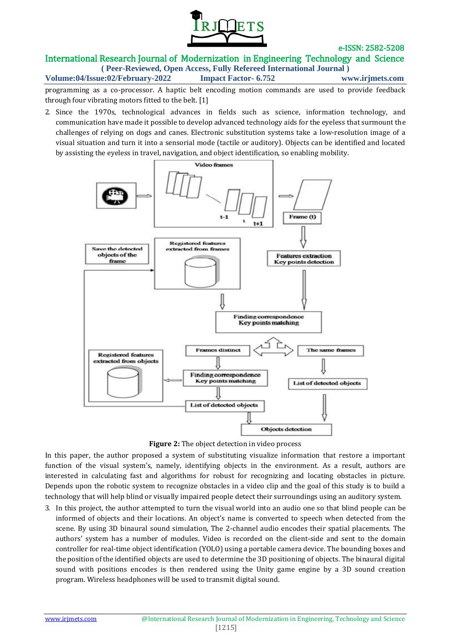

# International Research Journal of Modernization in Engineering Technology and Science

**( Peer-Reviewed, Open Access, Fully Refereed International Journal ) Volume:04/Issue:02/February-2022 Impact Factor- 6.752 www.irjmets.com**

programming as a co-processor. A haptic belt encoding motion commands are used to provide feedback through four vibrating motors fitted to the belt. [1]

2. Since the 1970s, technological advances in fields such as science, information technology, and communication have made it possible to develop advanced technology aids for the eyeless that surmount the challenges of relying on dogs and canes. Electronic substitution systems take a low-resolution image of a visual situation and turn it into a sensorial mode (tactile or auditory). Objects can be identified and located by assisting the eyeless in travel, navigation, and object identification, so enabling mobility.



**Figure 2:** The object detection in video process

In this paper, the author proposed a system of substituting visualize information that restore a important function of the visual system's, namely, identifying objects in the environment. As a result, authors are interested in calculating fast and algorithms for robust for recognizing and locating obstacles in picture. Depends upon the robotic system to recognize obstacles in a video clip and the goal of this study is to build a technology that will help blind or visually impaired people detect their surroundings using an auditory system.

3. In this project, the author attempted to turn the visual world into an audio one so that blind people can be informed of objects and their locations. An object's name is converted to speech when detected from the scene. By using 3D binaural sound simulation, The 2-channel audio encodes their spatial placements. The authors' system has a number of modules. Video is recorded on the client-side and sent to the domain controller for real-time object identification (YOLO) using a portable camera device. The bounding boxes and the position of the identified objects are used to determine the 3D positioning of objects. The binaural digital sound with positions encodes is then rendered using the Unity game engine by a 3D sound creation program. Wireless headphones will be used to transmit digital sound.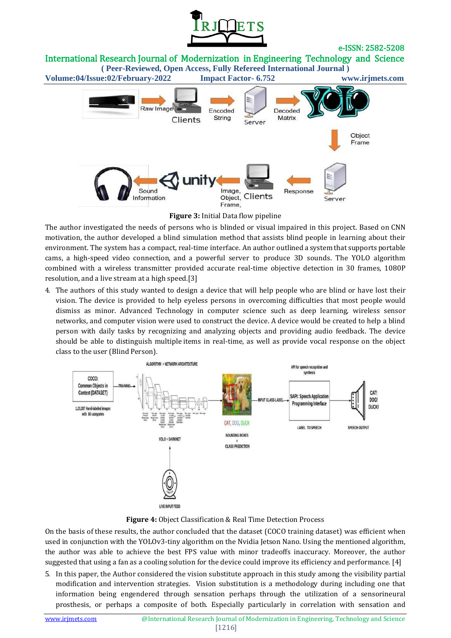

International Research Journal of Modernization in Engineering Technology and Science

**( Peer-Reviewed, Open Access, Fully Refereed International Journal ) Volume:04/Issue:02/February-2022 Impact Factor- 6.752 www.irjmets.com** Raw Image Encoded Decoded String Matrix Clients Server Object Frame unitv Sound Image, Response Object, Clients Information Server Frame.

**Figure 3:** Initial Data flow pipeline

The author investigated the needs of persons who is blinded or visual impaired in this project. Based on CNN motivation, the author developed a blind simulation method that assists blind people in learning about their environment. The system has a compact, real-time interface. An author outlined a system that supports portable cams, a high-speed video connection, and a powerful server to produce 3D sounds. The YOLO algorithm combined with a wireless transmitter provided accurate real-time objective detection in 30 frames, 1080P resolution, and a live stream at a high speed.[3]

4. The authors of this study wanted to design a device that will help people who are blind or have lost their vision. The device is provided to help eyeless persons in overcoming difficulties that most people would dismiss as minor. Advanced Technology in computer science such as deep learning, wireless sensor networks, and computer vision were used to construct the device. A device would be created to help a blind person with daily tasks by recognizing and analyzing objects and providing audio feedback. The device should be able to distinguish multiple items in real-time, as well as provide vocal response on the object class to the user (Blind Person).



**Figure 4:** Object Classification & Real Time Detection Process

On the basis of these results, the author concluded that the dataset (COCO training dataset) was efficient when used in conjunction with the YOLOv3-tiny algorithm on the Nvidia Jetson Nano. Using the mentioned algorithm, the author was able to achieve the best FPS value with minor tradeoffs inaccuracy. Moreover, the author suggested that using a fan as a cooling solution for the device could improve its efficiency and performance. [4]

5. In this paper, the Author considered the vision substitute approach in this study among the visibility partial modification and intervention strategies. Vision substitution is a methodology during including one that information being engendered through sensation perhaps through the utilization of a sensorineural prosthesis, or perhaps a composite of both. Especially particularly in correlation with sensation and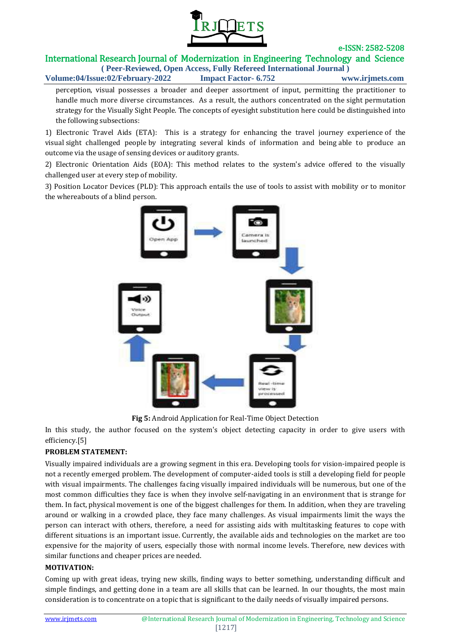

# International Research Journal of Modernization in Engineering Technology and Science

**( Peer-Reviewed, Open Access, Fully Refereed International Journal ) Volume:04/Issue:02/February-2022 Impact Factor- 6.752 www.irjmets.com**

perception, visual possesses a broader and deeper assortment of input, permitting the practitioner to handle much more diverse circumstances. As a result, the authors concentrated on the sight permutation strategy for the Visually Sight People. The concepts of eyesight substitution here could be distinguished into the following subsections:

1) Electronic Travel Aids (ETA): This is a strategy for enhancing the travel journey experience of the visual sight challenged people by integrating several kinds of information and being able to produce an outcome via the usage of sensing devices or auditory grants.

2) Electronic Orientation Aids (EOA): This method relates to the system's advice offered to the visually challenged user at every step of mobility.

3) Position Locator Devices (PLD): This approach entails the use of tools to assist with mobility or to monitor the whereabouts of a blind person.



**Fig 5:** Android Application for Real-Time Object Detection

In this study, the author focused on the system's object detecting capacity in order to give users with efficiency.[5]

#### **PROBLEM STATEMENT:**

Visually impaired individuals are a growing segment in this era. Developing tools for vision-impaired people is not a recently emerged problem. The development of computer-aided tools is still a developing field for people with visual impairments. The challenges facing visually impaired individuals will be numerous, but one of the most common difficulties they face is when they involve self-navigating in an environment that is strange for them. In fact, physical movement is one of the biggest challenges for them. In addition, when they are traveling around or walking in a crowded place, they face many challenges. As visual impairments limit the ways the person can interact with others, therefore, a need for assisting aids with multitasking features to cope with different situations is an important issue. Currently, the available aids and technologies on the market are too expensive for the majority of users, especially those with normal income levels. Therefore, new devices with similar functions and cheaper prices are needed.

#### **MOTIVATION:**

Coming up with great ideas, trying new skills, finding ways to better something, understanding difficult and simple findings, and getting done in a team are all skills that can be learned. In our thoughts, the most main consideration is to concentrate on a topic that is significant to the daily needs of visually impaired persons.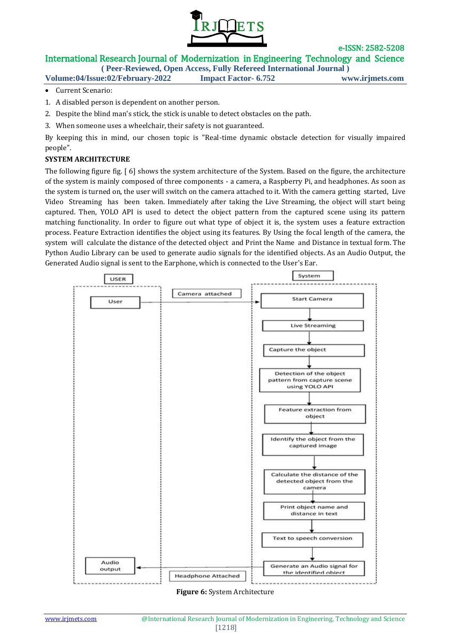

# International Research Journal of Modernization in Engineering Technology and Science

**( Peer-Reviewed, Open Access, Fully Refereed International Journal )**

**Volume:04/Issue:02/February-2022 Impact Factor- 6.752 www.irjmets.com**

- Current Scenario:
- 1. A disabled person is dependent on another person.
- 2. Despite the blind man's stick, the stick is unable to detect obstacles on the path.
- 3. When someone uses a wheelchair, their safety is not guaranteed.

By keeping this in mind, our chosen topic is "Real-time dynamic obstacle detection for visually impaired people".

#### **SYSTEM ARCHITECTURE**

The following figure fig. [ 6] shows the system architecture of the System. Based on the figure, the architecture of the system is mainly composed of three components - a camera, a Raspberry Pi, and headphones. As soon as the system is turned on, the user will switch on the camera attached to it. With the camera getting started, Live Video Streaming has been taken. Immediately after taking the Live Streaming, the object will start being captured. Then, YOLO API is used to detect the object pattern from the captured scene using its pattern matching functionality. In order to figure out what type of object it is, the system uses a feature extraction process. Feature Extraction identifies the object using its features. By Using the focal length of the camera, the system will calculate the distance of the detected object and Print the Name and Distance in textual form. The Python Audio Library can be used to generate audio signals for the identified objects. As an Audio Output, the Generated Audio signal is sent to the Earphone, which is connected to the User's Ear.



**Figure 6:** System Architecture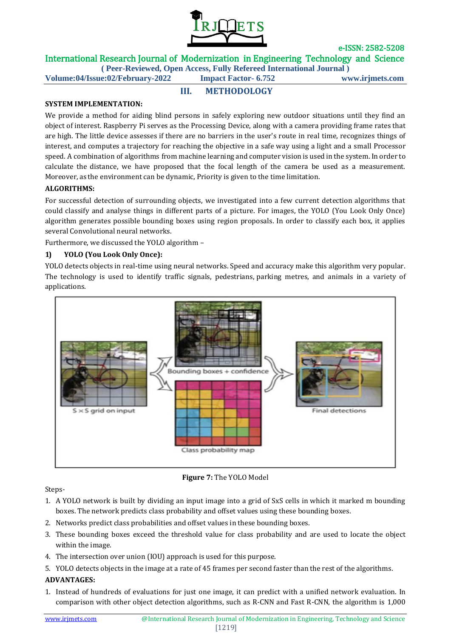

International Research Journal of Modernization in Engineering Technology and Science

**III. METHODOLOGY**

**( Peer-Reviewed, Open Access, Fully Refereed International Journal ) Volume:04/Issue:02/February-2022 Impact Factor- 6.752 www.irjmets.com**

#### **SYSTEM IMPLEMENTATION:**

We provide a method for aiding blind persons in safely exploring new outdoor situations until they find an object of interest. Raspberry Pi serves as the Processing Device, along with a camera providing frame rates that are high. The little device assesses if there are no barriers in the user's route in real time, recognizes things of interest, and computes a trajectory for reaching the objective in a safe way using a light and a small Processor speed. A combination of algorithms from machine learning and computer vision is used in the system. In order to calculate the distance, we have proposed that the focal length of the camera be used as a measurement. Moreover, as the environment can be dynamic, Priority is given to the time limitation.

#### **ALGORITHMS:**

For successful detection of surrounding objects, we investigated into a few current detection algorithms that could classify and analyse things in different parts of a picture. For images, the YOLO (You Look Only Once) algorithm generates possible bounding boxes using region proposals. In order to classify each box, it applies several Convolutional neural networks.

Furthermore, we discussed the YOLO algorithm –

#### **1) YOLO (You Look Only Once):**

YOLO detects objects in real-time using neural networks. Speed and accuracy make this algorithm very popular. The technology is used to identify traffic signals, pedestrians, parking metres, and animals in a variety of applications.



**Figure 7:** The YOLO Model

Steps-

- 1. A YOLO network is built by dividing an input image into a grid of SxS cells in which it marked m bounding boxes. The network predicts class probability and offset values using these bounding boxes.
- 2. Networks predict class probabilities and offset values in these bounding boxes.
- 3. These bounding boxes exceed the threshold value for class probability and are used to locate the object within the image.
- 4. The intersection over union (IOU) approach is used for this purpose.
- 5. YOLO detects objects in the image at a rate of 45 frames per second faster than the rest of the algorithms.

#### **ADVANTAGES:**

1. Instead of hundreds of evaluations for just one image, it can predict with a unified network evaluation. In comparison with other object detection algorithms, such as R-CNN and Fast R-CNN, the algorithm is 1,000